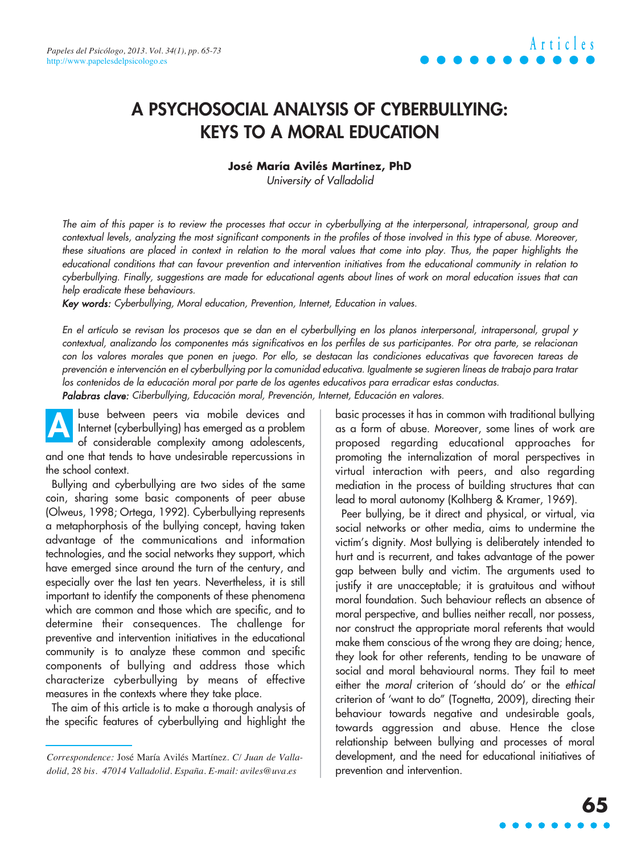### **A PSYCHOSOCIAL ANALYSIS OF CYBERBULLYING: KEYS TO A MORAL EDUCATION**

#### **José María Avilés Martínez, PhD**

University of Valladolid

The aim of this paper is to review the processes that occur in cyberbullying at the interpersonal, intrapersonal, group and contextual levels, analyzing the most significant components in the profiles of those involved in this type of abuse. Moreover, these situations are placed in context in relation to the moral values that come into play. Thus, the paper highlights the educational conditions that can favour prevention and intervention initiatives from the educational community in relation to cyberbullying. Finally, suggestions are made for educational agents about lines of work on moral education issues that can help eradicate these behaviours.

Key words: Cyberbullying, Moral education, Prevention, Internet, Education in values.

En el artículo se revisan los procesos que se dan en el cyberbullying en los planos interpersonal, intrapersonal, grupal y contextual, analizando los componentes más significativos en los perfiles de sus participantes. Por otra parte, se relacionan con los valores morales que ponen en juego. Por ello, se destacan las condiciones educativas que favorecen tareas de prevención e intervención en el cyberbullying por la comunidad educativa. Igualmente se sugieren líneas de trabajo para tratar los contenidos de la educación moral por parte de los agentes educativos para erradicar estas conductas.

Palabras clave: Ciberbullying, Educación moral, Prevención, Internet, Educación en valores.

buse between peers via mobile devices and Internet (cyberbullying) has emerged as a problem of considerable complexity among adolescents, and one that tends to have undesirable repercussions in the school context. **A**

Bullying and cyberbullying are two sides of the same coin, sharing some basic components of peer abuse (Olweus, 1998; Ortega, 1992). Cyberbullying represents a metaphorphosis of the bullying concept, having taken advantage of the communications and information technologies, and the social networks they support, which have emerged since around the turn of the century, and especially over the last ten years. Nevertheless, it is still important to identify the components of these phenomena which are common and those which are specific, and to determine their consequences. The challenge for preventive and intervention initiatives in the educational community is to analyze these common and specific components of bullying and address those which characterize cyberbullying by means of effective measures in the contexts where they take place.

The aim of this article is to make a thorough analysis of the specific features of cyberbullying and highlight the basic processes it has in common with traditional bullying as a form of abuse. Moreover, some lines of work are proposed regarding educational approaches for promoting the internalization of moral perspectives in virtual interaction with peers, and also regarding mediation in the process of building structures that can lead to moral autonomy (Kolhberg & Kramer, 1969).

Peer bullying, be it direct and physical, or virtual, via social networks or other media, aims to undermine the victim's dignity. Most bullying is deliberately intended to hurt and is recurrent, and takes advantage of the power gap between bully and victim. The arguments used to justify it are unacceptable; it is gratuitous and without moral foundation. Such behaviour reflects an absence of moral perspective, and bullies neither recall, nor possess, nor construct the appropriate moral referents that would make them conscious of the wrong they are doing; hence, they look for other referents, tending to be unaware of social and moral behavioural norms. They fail to meet either the moral criterion of 'should do' or the ethical criterion of 'want to do" (Tognetta, 2009), directing their behaviour towards negative and undesirable goals, towards aggression and abuse. Hence the close relationship between bullying and processes of moral development, and the need for educational initiatives of prevention and intervention.

*Correspondence:* José María Avilés Martínez. *C/ Juan de Valladolid, 28 bis. 47014 Valladolid. España. E-mail: aviles@uva.es*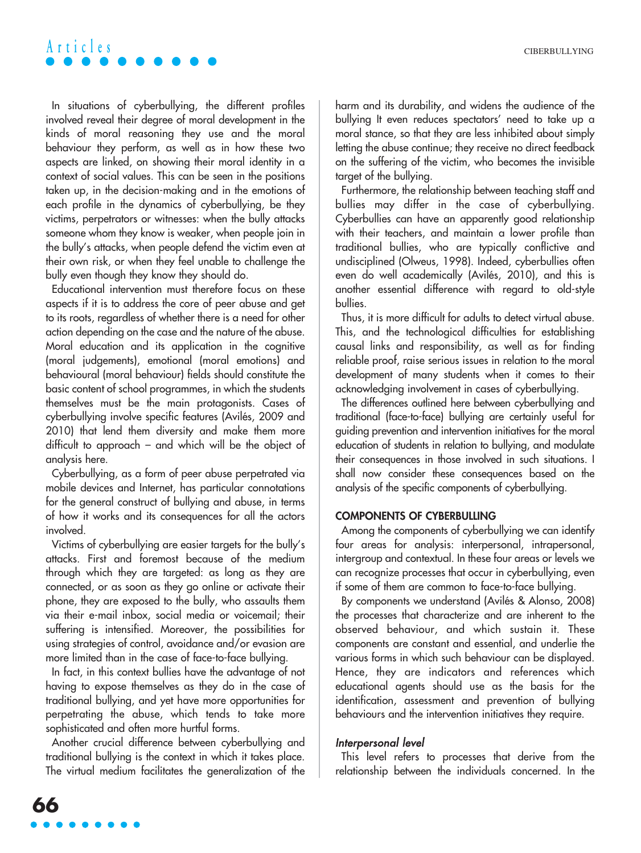In situations of cyberbullying, the different profiles involved reveal their degree of moral development in the kinds of moral reasoning they use and the moral behaviour they perform, as well as in how these two aspects are linked, on showing their moral identity in a context of social values. This can be seen in the positions taken up, in the decision-making and in the emotions of each profile in the dynamics of cyberbullying, be they victims, perpetrators or witnesses: when the bully attacks someone whom they know is weaker, when people join in the bully's attacks, when people defend the victim even at their own risk, or when they feel unable to challenge the bully even though they know they should do.

Educational intervention must therefore focus on these aspects if it is to address the core of peer abuse and get to its roots, regardless of whether there is a need for other action depending on the case and the nature of the abuse. Moral education and its application in the cognitive (moral judgements), emotional (moral emotions) and behavioural (moral behaviour) fields should constitute the basic content of school programmes, in which the students themselves must be the main protagonists. Cases of cyberbullying involve specific features (Avilés, 2009 and 2010) that lend them diversity and make them more difficult to approach – and which will be the object of analysis here.

Cyberbullying, as a form of peer abuse perpetrated via mobile devices and Internet, has particular connotations for the general construct of bullying and abuse, in terms of how it works and its consequences for all the actors involved.

Victims of cyberbullying are easier targets for the bully's attacks. First and foremost because of the medium through which they are targeted: as long as they are connected, or as soon as they go online or activate their phone, they are exposed to the bully, who assaults them via their e-mail inbox, social media or voicemail; their suffering is intensified. Moreover, the possibilities for using strategies of control, avoidance and/or evasion are more limited than in the case of face-to-face bullying.

In fact, in this context bullies have the advantage of not having to expose themselves as they do in the case of traditional bullying, and yet have more opportunities for perpetrating the abuse, which tends to take more sophisticated and often more hurtful forms.

Another crucial difference between cyberbullying and traditional bullying is the context in which it takes place. The virtual medium facilitates the generalization of the harm and its durability, and widens the audience of the bullying It even reduces spectators' need to take up a moral stance, so that they are less inhibited about simply letting the abuse continue; they receive no direct feedback on the suffering of the victim, who becomes the invisible target of the bullying.

Furthermore, the relationship between teaching staff and bullies may differ in the case of cyberbullying. Cyberbullies can have an apparently good relationship with their teachers, and maintain a lower profile than traditional bullies, who are typically conflictive and undisciplined (Olweus, 1998). Indeed, cyberbullies often even do well academically (Avilés, 2010), and this is another essential difference with regard to old-style bullies.

Thus, it is more difficult for adults to detect virtual abuse. This, and the technological difficulties for establishing causal links and responsibility, as well as for finding reliable proof, raise serious issues in relation to the moral development of many students when it comes to their acknowledging involvement in cases of cyberbullying.

The differences outlined here between cyberbullying and traditional (face-to-face) bullying are certainly useful for guiding prevention and intervention initiatives for the moral education of students in relation to bullying, and modulate their consequences in those involved in such situations. I shall now consider these consequences based on the analysis of the specific components of cyberbullying.

#### **COMPONENTS OF CYBERBULLING**

Among the components of cyberbullying we can identify four areas for analysis: interpersonal, intrapersonal, intergroup and contextual. In these four areas or levels we can recognize processes that occur in cyberbullying, even if some of them are common to face-to-face bullying.

By components we understand (Avilés & Alonso, 2008) the processes that characterize and are inherent to the observed behaviour, and which sustain it. These components are constant and essential, and underlie the various forms in which such behaviour can be displayed. Hence, they are indicators and references which educational agents should use as the basis for the identification, assessment and prevention of bullying behaviours and the intervention initiatives they require.

#### Interpersonal level

This level refers to processes that derive from the relationship between the individuals concerned. In the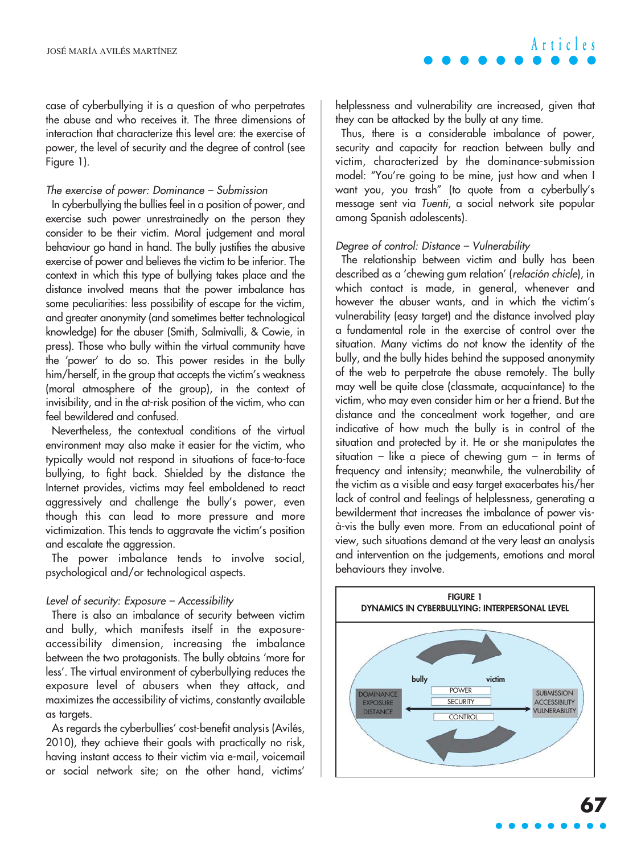case of cyberbullying it is a question of who perpetrates the abuse and who receives it. The three dimensions of interaction that characterize this level are: the exercise of power, the level of security and the degree of control (see Figure 1).

#### The exercise of power: Dominance – Submission

In cyberbullying the bullies feel in a position of power, and exercise such power unrestrainedly on the person they consider to be their victim. Moral judgement and moral behaviour go hand in hand. The bully justifies the abusive exercise of power and believes the victim to be inferior. The context in which this type of bullying takes place and the distance involved means that the power imbalance has some peculiarities: less possibility of escape for the victim, and greater anonymity (and sometimes better technological knowledge) for the abuser (Smith, Salmivalli, & Cowie, in press). Those who bully within the virtual community have the 'power' to do so. This power resides in the bully him/herself, in the group that accepts the victim's weakness (moral atmosphere of the group), in the context of invisibility, and in the at-risk position of the victim, who can feel bewildered and confused.

Nevertheless, the contextual conditions of the virtual environment may also make it easier for the victim, who typically would not respond in situations of face-to-face bullying, to fight back. Shielded by the distance the Internet provides, victims may feel emboldened to react aggressively and challenge the bully's power, even though this can lead to more pressure and more victimization. This tends to aggravate the victim's position and escalate the aggression.

The power imbalance tends to involve social, psychological and/or technological aspects.

#### Level of security: Exposure – Accessibility

There is also an imbalance of security between victim and bully, which manifests itself in the exposureaccessibility dimension, increasing the imbalance between the two protagonists. The bully obtains 'more for less'. The virtual environment of cyberbullying reduces the exposure level of abusers when they attack, and maximizes the accessibility of victims, constantly available as targets.

As regards the cyberbullies' cost-benefit analysis (Avilés, 2010), they achieve their goals with practically no risk, having instant access to their victim via e-mail, voicemail or social network site; on the other hand, victims'

helplessness and vulnerability are increased, given that they can be attacked by the bully at any time.

Thus, there is a considerable imbalance of power, security and capacity for reaction between bully and victim, characterized by the dominance-submission model: "You're going to be mine, just how and when I want you, you trash" (to quote from a cyberbully's message sent via Tuenti, a social network site popular among Spanish adolescents).

#### Degree of control: Distance – Vulnerability

The relationship between victim and bully has been described as a 'chewing gum relation' (relación chicle), in which contact is made, in general, whenever and however the abuser wants, and in which the victim's vulnerability (easy target) and the distance involved play a fundamental role in the exercise of control over the situation. Many victims do not know the identity of the bully, and the bully hides behind the supposed anonymity of the web to perpetrate the abuse remotely. The bully may well be quite close (classmate, acquaintance) to the victim, who may even consider him or her a friend. But the distance and the concealment work together, and are indicative of how much the bully is in control of the situation and protected by it. He or she manipulates the situation – like a piece of chewing gum – in terms of frequency and intensity; meanwhile, the vulnerability of the victim as a visible and easy target exacerbates his/her lack of control and feelings of helplessness, generating a bewilderment that increases the imbalance of power visà-vis the bully even more. From an educational point of view, such situations demand at the very least an analysis and intervention on the judgements, emotions and moral behaviours they involve.

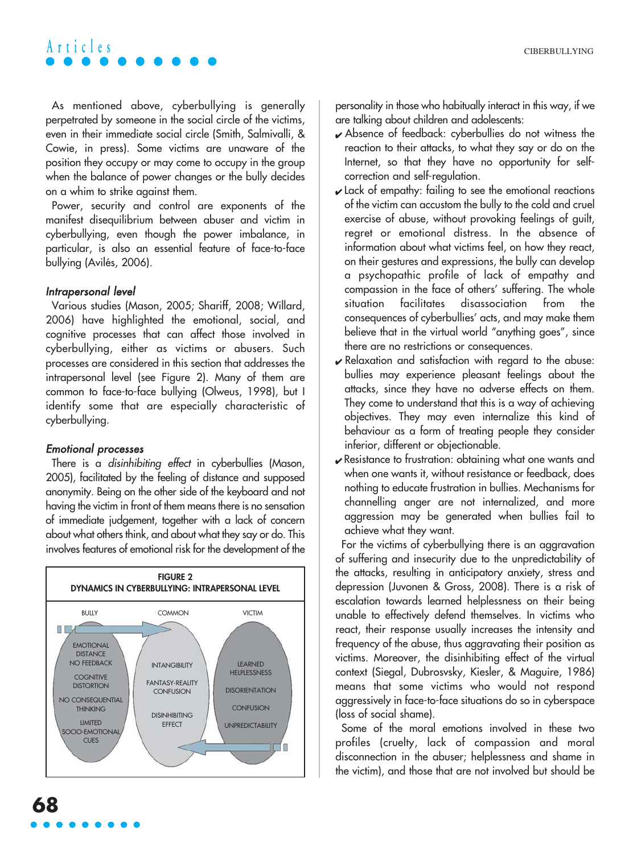As mentioned above, cyberbullying is generally perpetrated by someone in the social circle of the victims, even in their immediate social circle (Smith, Salmivalli, & Cowie, in press). Some victims are unaware of the position they occupy or may come to occupy in the group when the balance of power changes or the bully decides on a whim to strike against them.

Power, security and control are exponents of the manifest disequilibrium between abuser and victim in cyberbullying, even though the power imbalance, in particular, is also an essential feature of face-to-face bullying (Avilés, 2006).

#### Intrapersonal level

Various studies (Mason, 2005; Shariff, 2008; Willard, 2006) have highlighted the emotional, social, and cognitive processes that can affect those involved in cyberbullying, either as victims or abusers. Such processes are considered in this section that addresses the intrapersonal level (see Figure 2). Many of them are common to face-to-face bullying (Olweus, 1998), but I identify some that are especially characteristic of cyberbullying.

#### Emotional processes

There is a disinhibiting effect in cyberbullies (Mason, 2005), facilitated by the feeling of distance and supposed anonymity. Being on the other side of the keyboard and not having the victim in front of them means there is no sensation of immediate judgement, together with a lack of concern about what others think, and about what they say or do. This involves features of emotional risk for the development of the



- ✔ Absence of feedback: cyberbullies do not witness the reaction to their attacks, to what they say or do on the Internet, so that they have no opportunity for selfcorrection and self-regulation.
- $\boldsymbol{\nu}$  Lack of empathy: failing to see the emotional reactions of the victim can accustom the bully to the cold and cruel exercise of abuse, without provoking feelings of guilt, regret or emotional distress. In the absence of information about what victims feel, on how they react, on their gestures and expressions, the bully can develop a psychopathic profile of lack of empathy and compassion in the face of others' suffering. The whole situation facilitates disassociation from the consequences of cyberbullies' acts, and may make them believe that in the virtual world "anything goes", since there are no restrictions or consequences.
- $\mathbf y$  Relaxation and satisfaction with regard to the abuse: bullies may experience pleasant feelings about the attacks, since they have no adverse effects on them. They come to understand that this is a way of achieving objectives. They may even internalize this kind of behaviour as a form of treating people they consider inferior, different or objectionable.
- ✔ Resistance to frustration: obtaining what one wants and when one wants it, without resistance or feedback, does nothing to educate frustration in bullies. Mechanisms for channelling anger are not internalized, and more aggression may be generated when bullies fail to achieve what they want.

For the victims of cyberbullying there is an aggravation of suffering and insecurity due to the unpredictability of the attacks, resulting in anticipatory anxiety, stress and depression (Juvonen & Gross, 2008). There is a risk of escalation towards learned helplessness on their being unable to effectively defend themselves. In victims who react, their response usually increases the intensity and frequency of the abuse, thus aggravating their position as victims. Moreover, the disinhibiting effect of the virtual context (Siegal, Dubrosvsky, Kiesler, & Maguire, 1986) means that some victims who would not respond aggressively in face-to-face situations do so in cyberspace (loss of social shame).

Some of the moral emotions involved in these two profiles (cruelty, lack of compassion and moral disconnection in the abuser; helplessness and shame in the victim), and those that are not involved but should be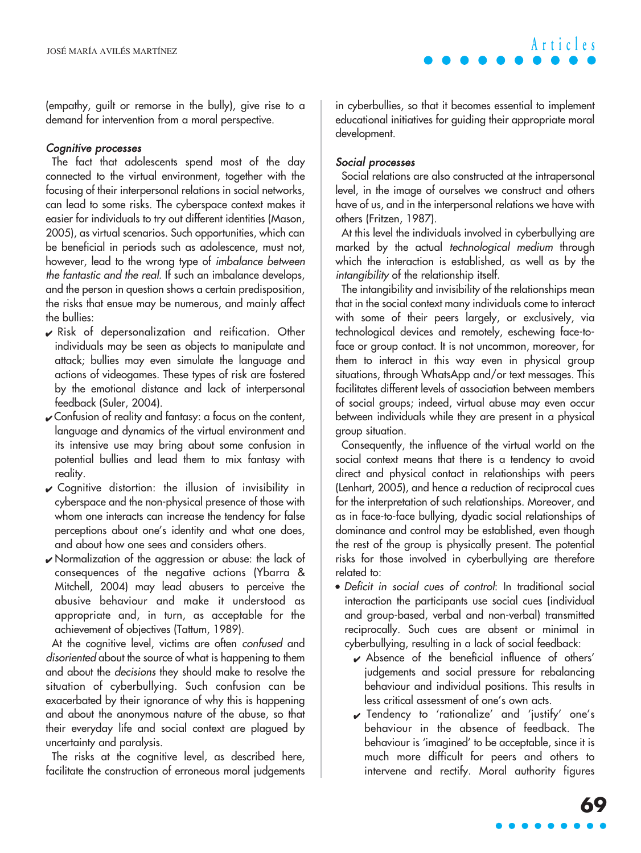(empathy, guilt or remorse in the bully), give rise to a demand for intervention from a moral perspective.

#### Cognitive processes

The fact that adolescents spend most of the day connected to the virtual environment, together with the focusing of their interpersonal relations in social networks, can lead to some risks. The cyberspace context makes it easier for individuals to try out different identities (Mason, 2005), as virtual scenarios. Such opportunities, which can be beneficial in periods such as adolescence, must not, however, lead to the wrong type of imbalance between the fantastic and the real. If such an imbalance develops, and the person in question shows a certain predisposition, the risks that ensue may be numerous, and mainly affect the bullies:

- $\boldsymbol{\nu}$  Risk of depersonalization and reification. Other individuals may be seen as objects to manipulate and attack; bullies may even simulate the language and actions of videogames. These types of risk are fostered by the emotional distance and lack of interpersonal feedback (Suler, 2004).
- ✔ Confusion of reality and fantasy: a focus on the content, language and dynamics of the virtual environment and its intensive use may bring about some confusion in potential bullies and lead them to mix fantasy with reality.
- $\mathcal V$  Cognitive distortion: the illusion of invisibility in cyberspace and the non-physical presence of those with whom one interacts can increase the tendency for false perceptions about one's identity and what one does, and about how one sees and considers others.
- ✔ Normalization of the aggression or abuse: the lack of consequences of the negative actions (Ybarra & Mitchell, 2004) may lead abusers to perceive the abusive behaviour and make it understood as appropriate and, in turn, as acceptable for the achievement of objectives (Tattum, 1989).

At the cognitive level, victims are often confused and disoriented about the source of what is happening to them and about the decisions they should make to resolve the situation of cyberbullying. Such confusion can be exacerbated by their ignorance of why this is happening and about the anonymous nature of the abuse, so that their everyday life and social context are plagued by uncertainty and paralysis.

The risks at the cognitive level, as described here, facilitate the construction of erroneous moral judgements in cyberbullies, so that it becomes essential to implement educational initiatives for guiding their appropriate moral development.

#### Social processes

Social relations are also constructed at the intrapersonal level, in the image of ourselves we construct and others have of us, and in the interpersonal relations we have with others (Fritzen, 1987).

At this level the individuals involved in cyberbullying are marked by the actual technological medium through which the interaction is established, as well as by the intangibility of the relationship itself.

The intangibility and invisibility of the relationships mean that in the social context many individuals come to interact with some of their peers largely, or exclusively, via technological devices and remotely, eschewing face-toface or group contact. It is not uncommon, moreover, for them to interact in this way even in physical group situations, through WhatsApp and/or text messages. This facilitates different levels of association between members of social groups; indeed, virtual abuse may even occur between individuals while they are present in a physical group situation.

Consequently, the influence of the virtual world on the social context means that there is a tendency to avoid direct and physical contact in relationships with peers (Lenhart, 2005), and hence a reduction of reciprocal cues for the interpretation of such relationships. Moreover, and as in face-to-face bullying, dyadic social relationships of dominance and control may be established, even though the rest of the group is physically present. The potential risks for those involved in cyberbullying are therefore related to:

- Deficit in social cues of control: In traditional social interaction the participants use social cues (individual and group-based, verbal and non-verbal) transmitted reciprocally. Such cues are absent or minimal in cyberbullying, resulting in a lack of social feedback:
	- ✔ Absence of the beneficial influence of others' judgements and social pressure for rebalancing behaviour and individual positions. This results in less critical assessment of one's own acts.
	- ✔ Tendency to 'rationalize' and 'justify' one's behaviour in the absence of feedback. The behaviour is 'imagined' to be acceptable, since it is much more difficult for peers and others to intervene and rectify. Moral authority figures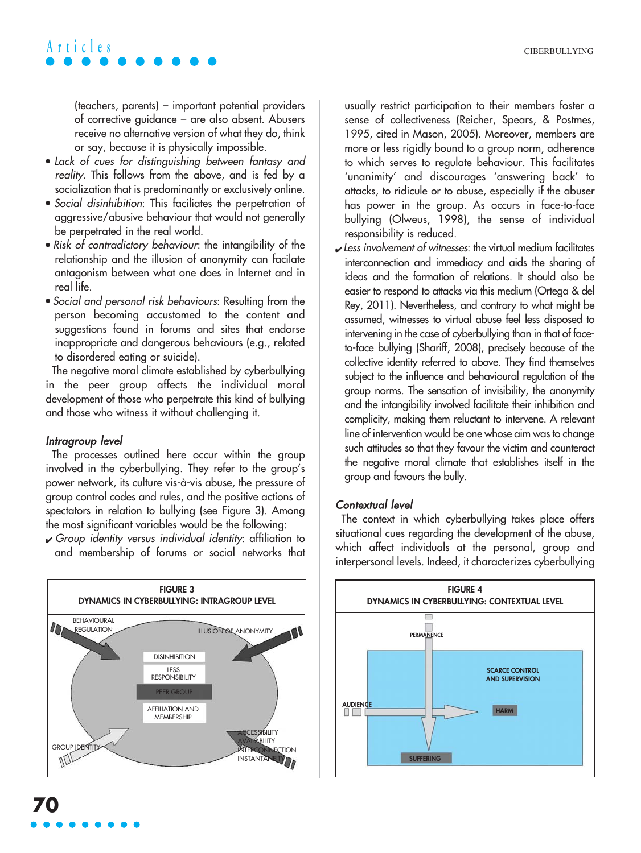(teachers, parents) – important potential providers of corrective guidance – are also absent. Abusers receive no alternative version of what they do, think or say, because it is physically impossible.

- Lack of cues for distinguishing between fantasy and reality. This follows from the above, and is fed by a socialization that is predominantly or exclusively online.
- Social disinhibition: This faciliates the perpetration of aggressive/abusive behaviour that would not generally be perpetrated in the real world.
- Risk of contradictory behaviour: the intangibility of the relationship and the illusion of anonymity can facilate antagonism between what one does in Internet and in real life.
- Social and personal risk behaviours: Resulting from the person becoming accustomed to the content and suggestions found in forums and sites that endorse inappropriate and dangerous behaviours (e.g., related to disordered eating or suicide).

The negative moral climate established by cyberbullying in the peer group affects the individual moral development of those who perpetrate this kind of bullying and those who witness it without challenging it.

#### Intragroup level

The processes outlined here occur within the group involved in the cyberbullying. They refer to the group's power network, its culture vis-à-vis abuse, the pressure of group control codes and rules, and the positive actions of spectators in relation to bullying (see Figure 3). Among the most significant variables would be the following:

 $\sqrt{\frac{1}{T}}$  Group identity versus individual identity: affiliation to and membership of forums or social networks that



usually restrict participation to their members foster a sense of collectiveness (Reicher, Spears, & Postmes, 1995, cited in Mason, 2005). Moreover, members are more or less rigidly bound to a group norm, adherence to which serves to regulate behaviour. This facilitates 'unanimity' and discourages 'answering back' to attacks, to ridicule or to abuse, especially if the abuser has power in the group. As occurs in face-to-face bullying (Olweus, 1998), the sense of individual responsibility is reduced.

 $\boldsymbol{\nu}$  Less involvement of witnesses: the virtual medium facilitates interconnection and immediacy and aids the sharing of ideas and the formation of relations. It should also be easier to respond to attacks via this medium (Ortega & del Rey, 2011). Nevertheless, and contrary to what might be assumed, witnesses to virtual abuse feel less disposed to intervening in the case of cyberbullying than in that of faceto-face bullying (Shariff, 2008), precisely because of the collective identity referred to above. They find themselves subject to the influence and behavioural regulation of the group norms. The sensation of invisibility, the anonymity and the intangibility involved facilitate their inhibition and complicity, making them reluctant to intervene. A relevant line of intervention would be one whose aim was to change such attitudes so that they favour the victim and counteract the negative moral climate that establishes itself in the group and favours the bully.

#### Contextual level

The context in which cyberbullying takes place offers situational cues regarding the development of the abuse, which affect individuals at the personal, group and interpersonal levels. Indeed, it characterizes cyberbullying

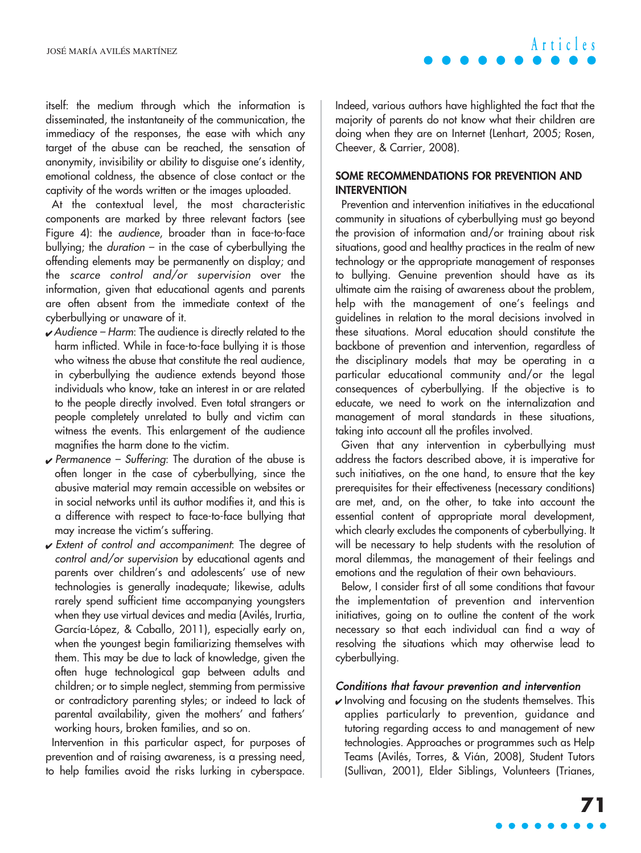itself: the medium through which the information is disseminated, the instantaneity of the communication, the immediacy of the responses, the ease with which any target of the abuse can be reached, the sensation of anonymity, invisibility or ability to disguise one's identity, emotional coldness, the absence of close contact or the captivity of the words written or the images uploaded.

At the contextual level, the most characteristic components are marked by three relevant factors (see Figure 4): the audience, broader than in face-to-face bullying; the duration – in the case of cyberbullying the offending elements may be permanently on display; and the scarce control and/or supervision over the information, given that educational agents and parents are often absent from the immediate context of the cyberbullying or unaware of it.

- ✔ Audience Harm: The audience is directly related to the harm inflicted. While in face-to-face bullying it is those who witness the abuse that constitute the real audience, in cyberbullying the audience extends beyond those individuals who know, take an interest in or are related to the people directly involved. Even total strangers or people completely unrelated to bully and victim can witness the events. This enlargement of the audience magnifies the harm done to the victim.
- $\sqrt{\frac{P}{P}}$  Permanence Suffering: The duration of the abuse is often longer in the case of cyberbullying, since the abusive material may remain accessible on websites or in social networks until its author modifies it, and this is a difference with respect to face-to-face bullying that may increase the victim's suffering.
- $\sqrt{\frac{1}{1}}$  Extent of control and accompaniment: The degree of control and/or supervision by educational agents and parents over children's and adolescents' use of new technologies is generally inadequate; likewise, adults rarely spend sufficient time accompanying youngsters when they use virtual devices and media (Avilés, Irurtia, García-López, & Caballo, 2011), especially early on, when the youngest begin familiarizing themselves with them. This may be due to lack of knowledge, given the often huge technological gap between adults and children; or to simple neglect, stemming from permissive or contradictory parenting styles; or indeed to lack of parental availability, given the mothers' and fathers' working hours, broken families, and so on.

Intervention in this particular aspect, for purposes of prevention and of raising awareness, is a pressing need, to help families avoid the risks lurking in cyberspace.

Indeed, various authors have highlighted the fact that the majority of parents do not know what their children are doing when they are on Internet (Lenhart, 2005; Rosen, Cheever, & Carrier, 2008).

**Articles**

#### **SOME RECOMMENDATIONS FOR PREVENTION AND INTERVENTION**

Prevention and intervention initiatives in the educational community in situations of cyberbullying must go beyond the provision of information and/or training about risk situations, good and healthy practices in the realm of new technology or the appropriate management of responses to bullying. Genuine prevention should have as its ultimate aim the raising of awareness about the problem, help with the management of one's feelings and guidelines in relation to the moral decisions involved in these situations. Moral education should constitute the backbone of prevention and intervention, regardless of the disciplinary models that may be operating in a particular educational community and/or the legal consequences of cyberbullying. If the objective is to educate, we need to work on the internalization and management of moral standards in these situations, taking into account all the profiles involved.

Given that any intervention in cyberbullying must address the factors described above, it is imperative for such initiatives, on the one hand, to ensure that the key prerequisites for their effectiveness (necessary conditions) are met, and, on the other, to take into account the essential content of appropriate moral development, which clearly excludes the components of cyberbullying. It will be necessary to help students with the resolution of moral dilemmas, the management of their feelings and emotions and the regulation of their own behaviours.

Below, I consider first of all some conditions that favour the implementation of prevention and intervention initiatives, going on to outline the content of the work necessary so that each individual can find a way of resolving the situations which may otherwise lead to cyberbullying.

#### Conditions that favour prevention and intervention

 $\mathbf y$  Involving and focusing on the students themselves. This applies particularly to prevention, guidance and tutoring regarding access to and management of new technologies. Approaches or programmes such as Help Teams (Avilés, Torres, & Vián, 2008), Student Tutors (Sullivan, 2001), Elder Siblings, Volunteers (Trianes,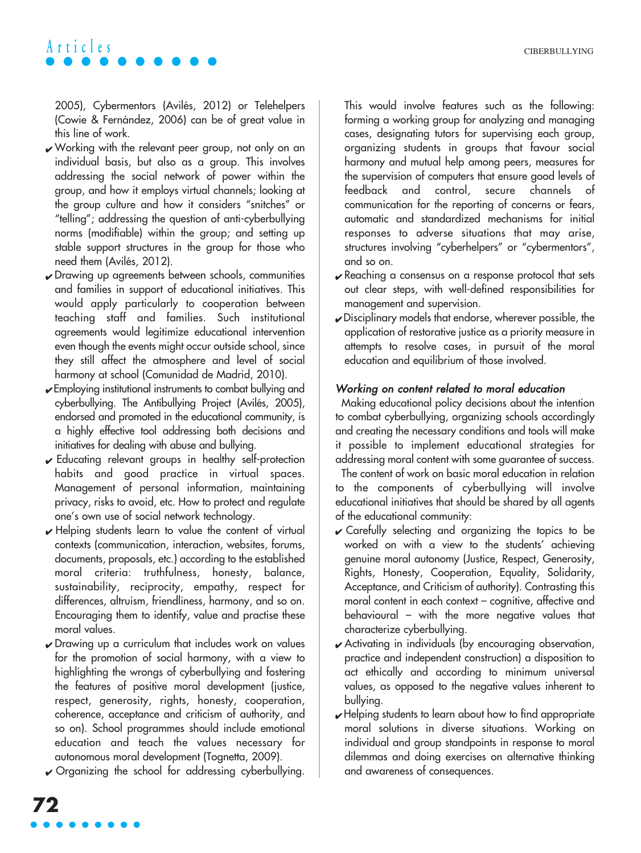2005), Cybermentors (Avilés, 2012) or Telehelpers (Cowie & Fernández, 2006) can be of great value in this line of work.

- $\sqrt{\frac{1}{\sqrt{\pi}}}$  Working with the relevant peer group, not only on an individual basis, but also as a group. This involves addressing the social network of power within the group, and how it employs virtual channels; looking at the group culture and how it considers "snitches" or "telling"; addressing the question of anti-cyberbullying norms (modifiable) within the group; and setting up stable support structures in the group for those who need them (Avilés, 2012).
- ✔ Drawing up agreements between schools, communities and families in support of educational initiatives. This would apply particularly to cooperation between teaching staff and families. Such institutional agreements would legitimize educational intervention even though the events might occur outside school, since they still affect the atmosphere and level of social harmony at school (Comunidad de Madrid, 2010).
- ✔ Employing institutional instruments to combat bullying and cyberbullying. The Antibullying Project (Avilés, 2005), endorsed and promoted in the educational community, is a highly effective tool addressing both decisions and initiatives for dealing with abuse and bullying.
- $\checkmark$  Educating relevant groups in healthy self-protection habits and good practice in virtual spaces. Management of personal information, maintaining privacy, risks to avoid, etc. How to protect and regulate one's own use of social network technology.
- $\mathbf v$  Helping students learn to value the content of virtual contexts (communication, interaction, websites, forums, documents, proposals, etc.) according to the established moral criteria: truthfulness, honesty, balance, sustainability, reciprocity, empathy, respect for differences, altruism, friendliness, harmony, and so on. Encouraging them to identify, value and practise these moral values.
- $\sqrt{\frac{1}{100}}$  Drawing up a curriculum that includes work on values for the promotion of social harmony, with a view to highlighting the wrongs of cyberbullying and fostering the features of positive moral development (justice, respect, generosity, rights, honesty, cooperation, coherence, acceptance and criticism of authority, and so on). School programmes should include emotional education and teach the values necessary for autonomous moral development (Tognetta, 2009).
- $\checkmark$  Organizing the school for addressing cyberbullying.

This would involve features such as the following: forming a working group for analyzing and managing cases, designating tutors for supervising each group, organizing students in groups that favour social harmony and mutual help among peers, measures for the supervision of computers that ensure good levels of feedback and control, secure channels of communication for the reporting of concerns or fears, automatic and standardized mechanisms for initial responses to adverse situations that may arise, structures involving "cyberhelpers" or "cybermentors", and so on.

- $\sqrt{\frac{1}{2}}$  Reaching a consensus on a response protocol that sets out clear steps, with well-defined responsibilities for management and supervision.
- $\sqrt{\frac{1}{1}}$  Disciplinary models that endorse, wherever possible, the application of restorative justice as a priority measure in attempts to resolve cases, in pursuit of the moral education and equilibrium of those involved.

#### Working on content related to moral education

Making educational policy decisions about the intention to combat cyberbullying, organizing schools accordingly and creating the necessary conditions and tools will make it possible to implement educational strategies for addressing moral content with some guarantee of success.

The content of work on basic moral education in relation to the components of cyberbullying will involve educational initiatives that should be shared by all agents of the educational community:

- $\mathcal V$  Carefully selecting and organizing the topics to be worked on with a view to the students' achieving genuine moral autonomy (Justice, Respect, Generosity, Rights, Honesty, Cooperation, Equality, Solidarity, Acceptance, and Criticism of authority). Contrasting this moral content in each context – cognitive, affective and behavioural – with the more negative values that characterize cyberbullying.
- ✔ Activating in individuals (by encouraging observation, practice and independent construction) a disposition to act ethically and according to minimum universal values, as opposed to the negative values inherent to bullying.
- $\boldsymbol{\nu}$  Helping students to learn about how to find appropriate moral solutions in diverse situations. Working on individual and group standpoints in response to moral dilemmas and doing exercises on alternative thinking and awareness of consequences.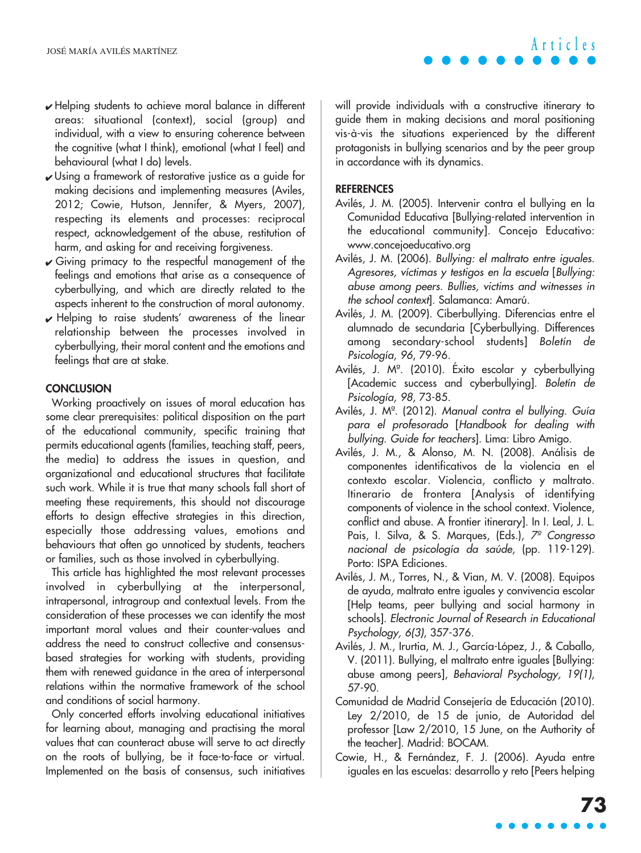- ✔ Helping students to achieve moral balance in different areas: situational (context), social (group) and individual, with a view to ensuring coherence between the cognitive (what I think), emotional (what I feel) and behavioural (what I do) levels.
- ✔ Using a framework of restorative justice as a guide for making decisions and implementing measures (Aviles, 2012; Cowie, Hutson, Jennifer, & Myers, 2007), respecting its elements and processes: reciprocal respect, acknowledgement of the abuse, restitution of harm, and asking for and receiving forgiveness.
- $\sqrt{\frac{1}{1}}$  Giving primacy to the respectful management of the feelings and emotions that arise as a consequence of cyberbullying, and which are directly related to the aspects inherent to the construction of moral autonomy.
- ✔ Helping to raise students' awareness of the linear relationship between the processes involved in cyberbullying, their moral content and the emotions and feelings that are at stake.

#### **CONCLUSION**

Working proactively on issues of moral education has some clear prerequisites: political disposition on the part of the educational community, specific training that permits educational agents (families, teaching staff, peers, the media) to address the issues in question, and organizational and educational structures that facilitate such work. While it is true that many schools fall short of meeting these requirements, this should not discourage efforts to design effective strategies in this direction, especially those addressing values, emotions and behaviours that often go unnoticed by students, teachers or families, such as those involved in cyberbullying.

This article has highlighted the most relevant processes involved in cyberbullying at the interpersonal, intrapersonal, intragroup and contextual levels. From the consideration of these processes we can identify the most important moral values and their counter-values and address the need to construct collective and consensusbased strategies for working with students, providing them with renewed guidance in the area of interpersonal relations within the normative framework of the school and conditions of social harmony.

Only concerted efforts involving educational initiatives for learning about, managing and practising the moral values that can counteract abuse will serve to act directly on the roots of bullying, be it face-to-face or virtual. Implemented on the basis of consensus, such initiatives will provide individuals with a constructive itinerary to guide them in making decisions and moral positioning vis-à-vis the situations experienced by the different protagonists in bullying scenarios and by the peer group in accordance with its dynamics.

#### **REFERENCES**

- Avilés, J. M. (2005). Intervenir contra el bullying en la Comunidad Educativa [Bullying-related intervention in the educational community]. Concejo Educativo: www.concejoeducativo.org
- Avilés, J. M. (2006). Bullying: el maltrato entre iguales. Agresores, víctimas y testigos en la escuela [Bullying: abuse among peers. Bullies, victims and witnesses in the school context]. Salamanca: Amarú.
- Avilés, J. M. (2009). Ciberbullying. Diferencias entre el alumnado de secundaria [Cyberbullying. Differences among secondary-school students] Boletín de Psicología, 96, 79-96.
- Avilés, J. Mª. (2010). Éxito escolar y cyberbullying [Academic success and cyberbullying]. Boletín de Psicología, 98, 73-85.
- Avilés, J. Mª. (2012). Manual contra el bullying. Guía para el profesorado [Handbook for dealing with bullying. Guide for teachers]. Lima: Libro Amigo.
- Avilés, J. M., & Alonso, M. N. (2008). Análisis de componentes identificativos de la violencia en el contexto escolar. Violencia, conflicto y maltrato. Itinerario de frontera [Analysis of identifying components of violence in the school context. Violence, conflict and abuse. A frontier itinerary]. In I. Leal, J. L. Pais, I. Silva, & S. Marques, (Eds.), <sup>7º</sup> Congresso nacional de psicología da saúde, (pp. 119-129). Porto: ISPA Ediciones.
- Avilés, J. M., Torres, N., & Vian, M. V. (2008). Equipos de ayuda, maltrato entre iguales y convivencia escolar [Help teams, peer bullying and social harmony in schools]. Electronic Journal of Research in Educational Psychology, 6(3), 357-376.
- Avilés, J. M., Irurtia, M. J., García-López, J., & Caballo, V. (2011). Bullying, el maltrato entre iguales [Bullying: abuse among peers], Behavioral Psychology, 19(1), 57-90.
- Comunidad de Madrid Consejería de Educación (2010). Ley 2/2010, de 15 de junio, de Autoridad del professor [Law 2/2010, 15 June, on the Authority of the teacher]. Madrid: BOCAM.
- Cowie, H., & Fernández, F. J. (2006). Ayuda entre iguales en las escuelas: desarrollo y reto [Peers helping